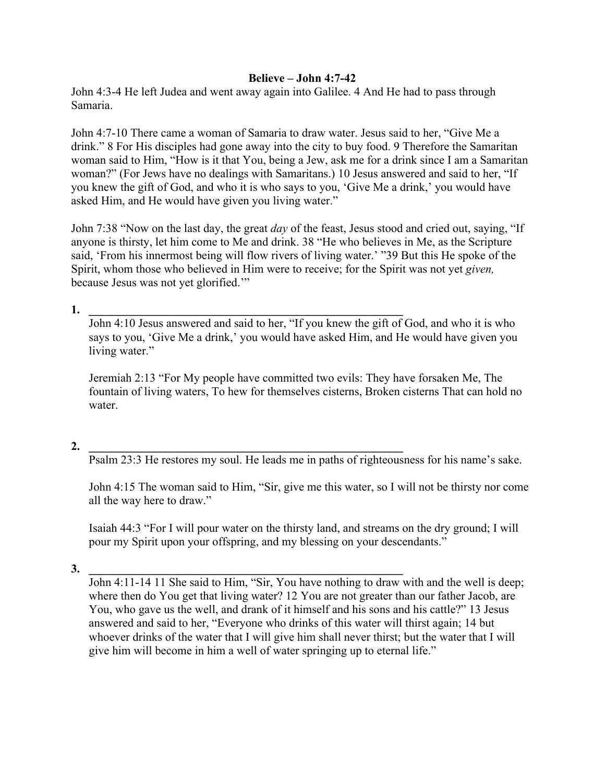## **Believe – John 4:7-42**

John 4:3-4 He left Judea and went away again into Galilee. 4 And He had to pass through Samaria.

John 4:7-10 There came a woman of Samaria to draw water. Jesus said to her, "Give Me a drink." 8 For His disciples had gone away into the city to buy food. 9 Therefore the Samaritan woman said to Him, "How is it that You, being a Jew, ask me for a drink since I am a Samaritan woman?" (For Jews have no dealings with Samaritans.) 10 Jesus answered and said to her, "If you knew the gift of God, and who it is who says to you, 'Give Me a drink,' you would have asked Him, and He would have given you living water."

John 7:38 "Now on the last day, the great *day* of the feast, Jesus stood and cried out, saying, "If anyone is thirsty, let him come to Me and drink. 38 "He who believes in Me, as the Scripture said, 'From his innermost being will flow rivers of living water.' "39 But this He spoke of the Spirit, whom those who believed in Him were to receive; for the Spirit was not yet *given,* because Jesus was not yet glorified.'"

**1. \_\_\_\_\_\_\_\_\_\_\_\_\_\_\_\_\_\_\_\_\_\_\_\_\_\_\_\_\_\_\_\_\_\_\_\_\_\_\_\_\_\_\_\_\_\_\_\_\_\_\_\_\_**

John 4:10 Jesus answered and said to her, "If you knew the gift of God, and who it is who says to you, 'Give Me a drink,' you would have asked Him, and He would have given you living water."

Jeremiah 2:13 "For My people have committed two evils: They have forsaken Me, The fountain of living waters, To hew for themselves cisterns, Broken cisterns That can hold no water.

## **2. \_\_\_\_\_\_\_\_\_\_\_\_\_\_\_\_\_\_\_\_\_\_\_\_\_\_\_\_\_\_\_\_\_\_\_\_\_\_\_\_\_\_\_\_\_\_\_\_\_\_\_\_\_**

Psalm 23:3 He restores my soul. He leads me in paths of righteousness for his name's sake.

John 4:15 The woman said to Him, "Sir, give me this water, so I will not be thirsty nor come all the way here to draw."

Isaiah 44:3 "For I will pour water on the thirsty land, and streams on the dry ground; I will pour my Spirit upon your offspring, and my blessing on your descendants."

 $\bf{3.}$ 

John 4:11-14 11 She said to Him, "Sir, You have nothing to draw with and the well is deep; where then do You get that living water? 12 You are not greater than our father Jacob, are You, who gave us the well, and drank of it himself and his sons and his cattle?" 13 Jesus answered and said to her, "Everyone who drinks of this water will thirst again; 14 but whoever drinks of the water that I will give him shall never thirst; but the water that I will give him will become in him a well of water springing up to eternal life."